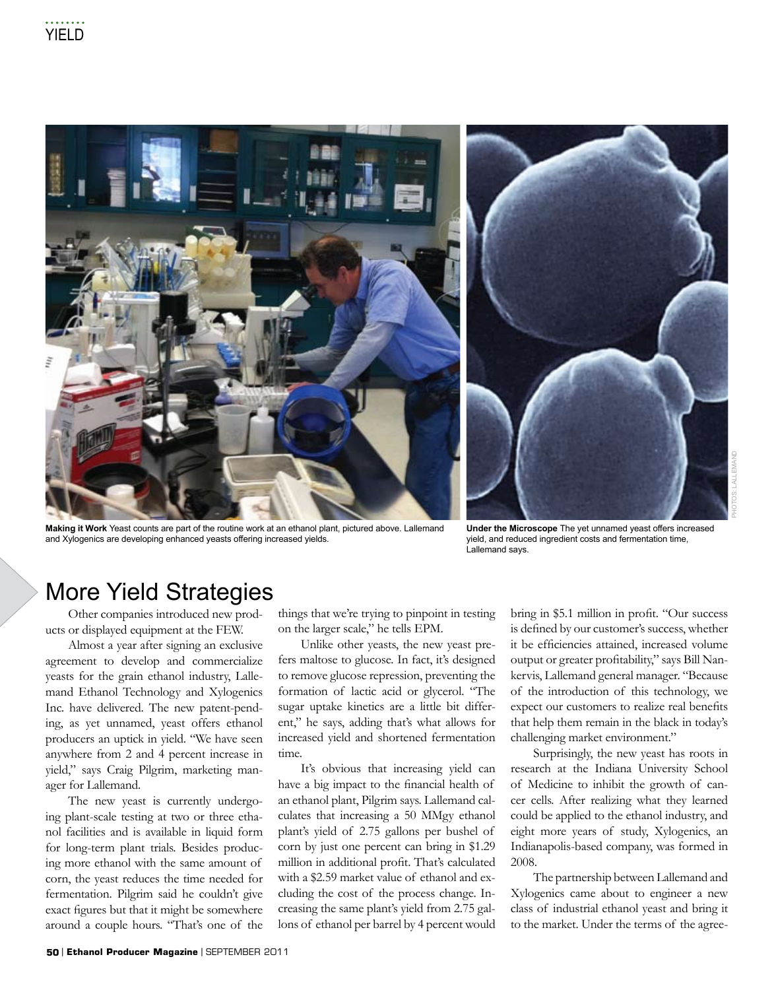

**Making it Work** Yeast counts are part of the routine work at an ethanol plant, pictured above. Lallemand and Xylogenics are developing enhanced yeasts offering increased yields.

**Under the Microscope** The yet unnamed yeast offers increased yield, and reduced ingredient costs and fermentation time, Lallemand says.

## More Yield Strategies

Other companies introduced new products or displayed equipment at the FEW.

Almost a year after signing an exclusive agreement to develop and commercialize yeasts for the grain ethanol industry, Lallemand Ethanol Technology and Xylogenics Inc. have delivered. The new patent-pending, as yet unnamed, yeast offers ethanol producers an uptick in yield. "We have seen anywhere from 2 and 4 percent increase in yield," says Craig Pilgrim, marketing manager for Lallemand.

The new yeast is currently undergoing plant-scale testing at two or three ethanol facilities and is available in liquid form for long-term plant trials. Besides producing more ethanol with the same amount of corn, the yeast reduces the time needed for fermentation. Pilgrim said he couldn't give exact figures but that it might be somewhere around a couple hours. "That's one of the things that we're trying to pinpoint in testing on the larger scale," he tells EPM.

Unlike other yeasts, the new yeast prefers maltose to glucose. In fact, it's designed to remove glucose repression, preventing the formation of lactic acid or glycerol. "The sugar uptake kinetics are a little bit different," he says, adding that's what allows for increased yield and shortened fermentation time.

It's obvious that increasing yield can have a big impact to the financial health of an ethanol plant, Pilgrim says. Lallemand calculates that increasing a 50 MMgy ethanol plant's yield of 2.75 gallons per bushel of corn by just one percent can bring in \$1.29 million in additional profit. That's calculated with a \$2.59 market value of ethanol and excluding the cost of the process change. Increasing the same plant's yield from 2.75 gallons of ethanol per barrel by 4 percent would

bring in \$5.1 million in profit. "Our success is defined by our customer's success, whether it be efficiencies attained, increased volume output or greater profitability," says Bill Nankervis, Lallemand general manager. "Because of the introduction of this technology, we expect our customers to realize real benefits that help them remain in the black in today's challenging market environment."

PHOTOs: LALLEMAND

Surprisingly, the new yeast has roots in research at the Indiana University School of Medicine to inhibit the growth of cancer cells. After realizing what they learned could be applied to the ethanol industry, and eight more years of study, Xylogenics, an Indianapolis-based company, was formed in 2008.

The partnership between Lallemand and Xylogenics came about to engineer a new class of industrial ethanol yeast and bring it to the market. Under the terms of the agree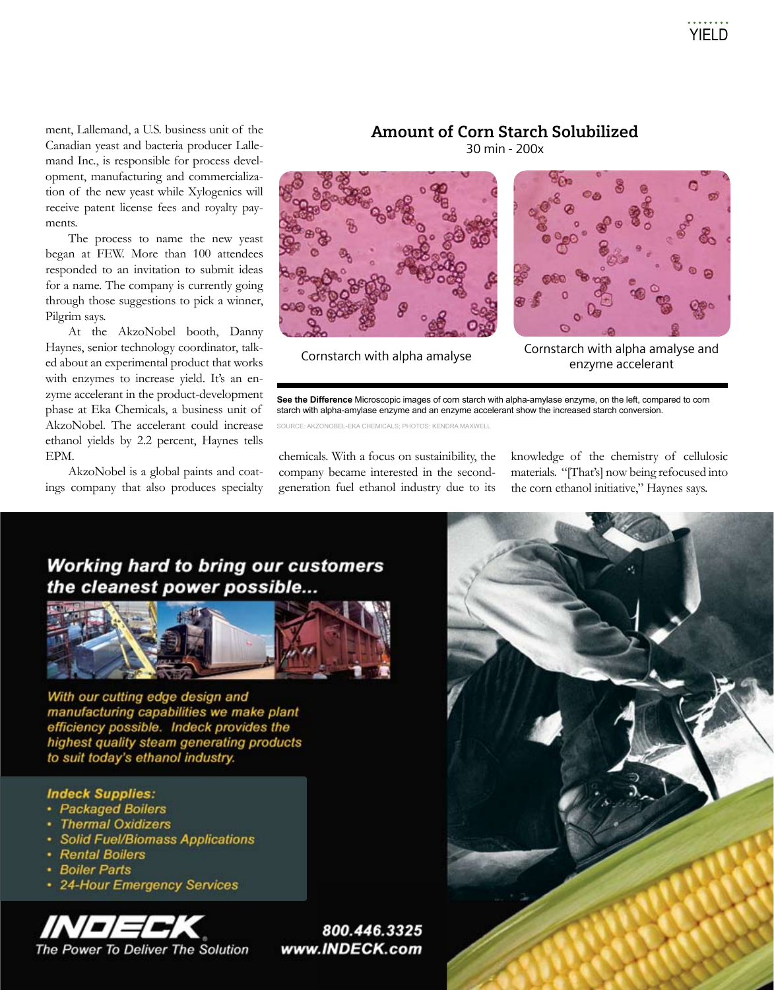ment, Lallemand, a U.S. business unit of the Canadian yeast and bacteria producer Lallemand Inc., is responsible for process development, manufacturing and commercialization of the new yeast while Xylogenics will receive patent license fees and royalty payments.

The process to name the new yeast began at FEW. More than 100 attendees responded to an invitation to submit ideas for a name. The company is currently going through those suggestions to pick a winner, Pilgrim says.

At the AkzoNobel booth, Danny Haynes, senior technology coordinator, talked about an experimental product that works with enzymes to increase yield. It's an enzyme accelerant in the product-development phase at Eka Chemicals, a business unit of AkzoNobel. The accelerant could increase ethanol yields by 2.2 percent, Haynes tells EPM.

AkzoNobel is a global paints and coatings company that also produces specialty

#### **Amount of Corn Starch Solubilized**

30 min - 200x





Cornstarch with alpha amalyse Cornstarch with alpha amalyse and enzyme accelerant

**See the Difference** Microscopic images of corn starch with alpha-amylase enzyme, on the left, compared to corn starch with alpha-amylase enzyme and an enzyme accelerant show the increased starch conversion.

SOURCE: AKZONOBEL-EKA CHEMICALS; PHOTOS: KENDRA MAXWELL

chemicals. With a focus on sustainibility, the company became interested in the secondgeneration fuel ethanol industry due to its knowledge of the chemistry of cellulosic materials. "[That's] now being refocused into the corn ethanol initiative," Haynes says.

### **Working hard to bring our customers** the cleanest power possible...



With our cutting edge design and manufacturing capabilities we make plant efficiency possible. Indeck provides the highest quality steam generating products to suit today's ethanol industry.

#### **Indeck Supplies:**

- Packaged Boilers
- **Thermal Oxidizers**
- Solid Fuel/Biomass Applications
- Rental Boilers
- **Boiler Parts**
- 24-Hour Emergency Services



800.446.3325 www.INDECK.com

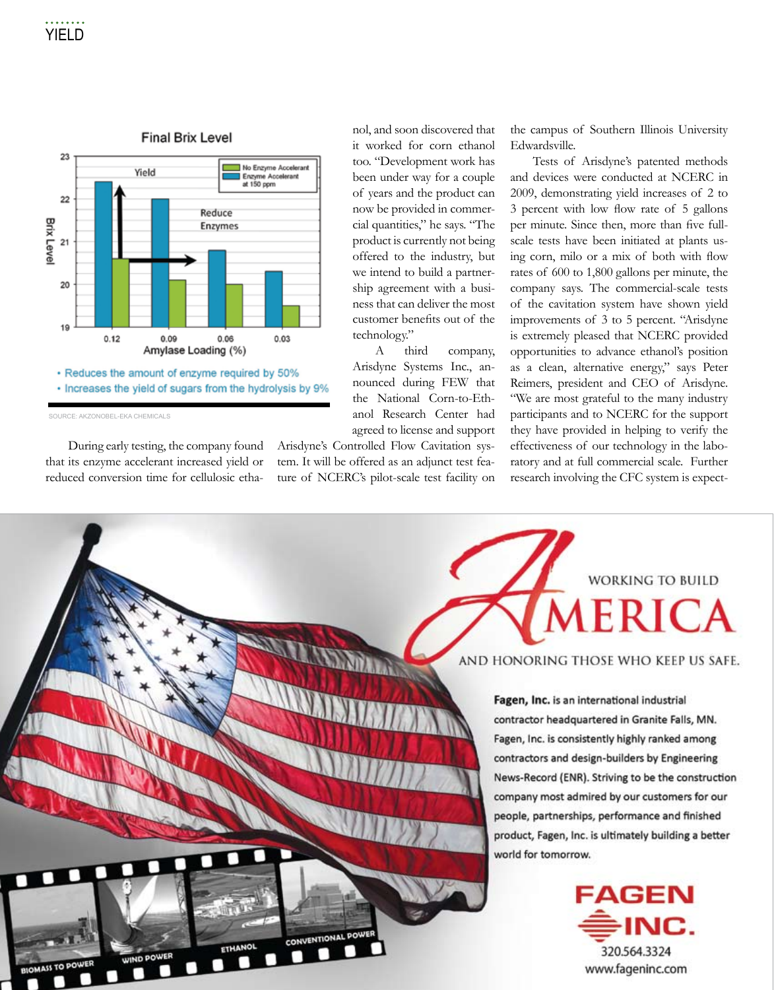

• Increases the yield of sugars from the hydrolysis by 9%

SOURCE: AKZONOBEL-EKA CHEMICALS

During early testing, the company found that its enzyme accelerant increased yield or reduced conversion time for cellulosic ethanol, and soon discovered that it worked for corn ethanol too. "Development work has been under way for a couple of years and the product can now be provided in commercial quantities," he says. "The product is currently not being offered to the industry, but we intend to build a partnership agreement with a business that can deliver the most customer benefits out of the technology."

A third company, Arisdyne Systems Inc., announced during FEW that the National Corn-to-Ethanol Research Center had agreed to license and support

Arisdyne's Controlled Flow Cavitation system. It will be offered as an adjunct test feature of NCERC's pilot-scale test facility on the campus of Southern Illinois University Edwardsville.

Tests of Arisdyne's patented methods and devices were conducted at NCERC in 2009, demonstrating yield increases of 2 to 3 percent with low flow rate of 5 gallons per minute. Since then, more than five fullscale tests have been initiated at plants using corn, milo or a mix of both with flow rates of 600 to 1,800 gallons per minute, the company says. The commercial-scale tests of the cavitation system have shown yield improvements of 3 to 5 percent. "Arisdyne is extremely pleased that NCERC provided opportunities to advance ethanol's position as a clean, alternative energy," says Peter Reimers, president and CEO of Arisdyne. "We are most grateful to the many industry participants and to NCERC for the support they have provided in helping to verify the effectiveness of our technology in the laboratory and at full commercial scale. Further research involving the CFC system is expect-